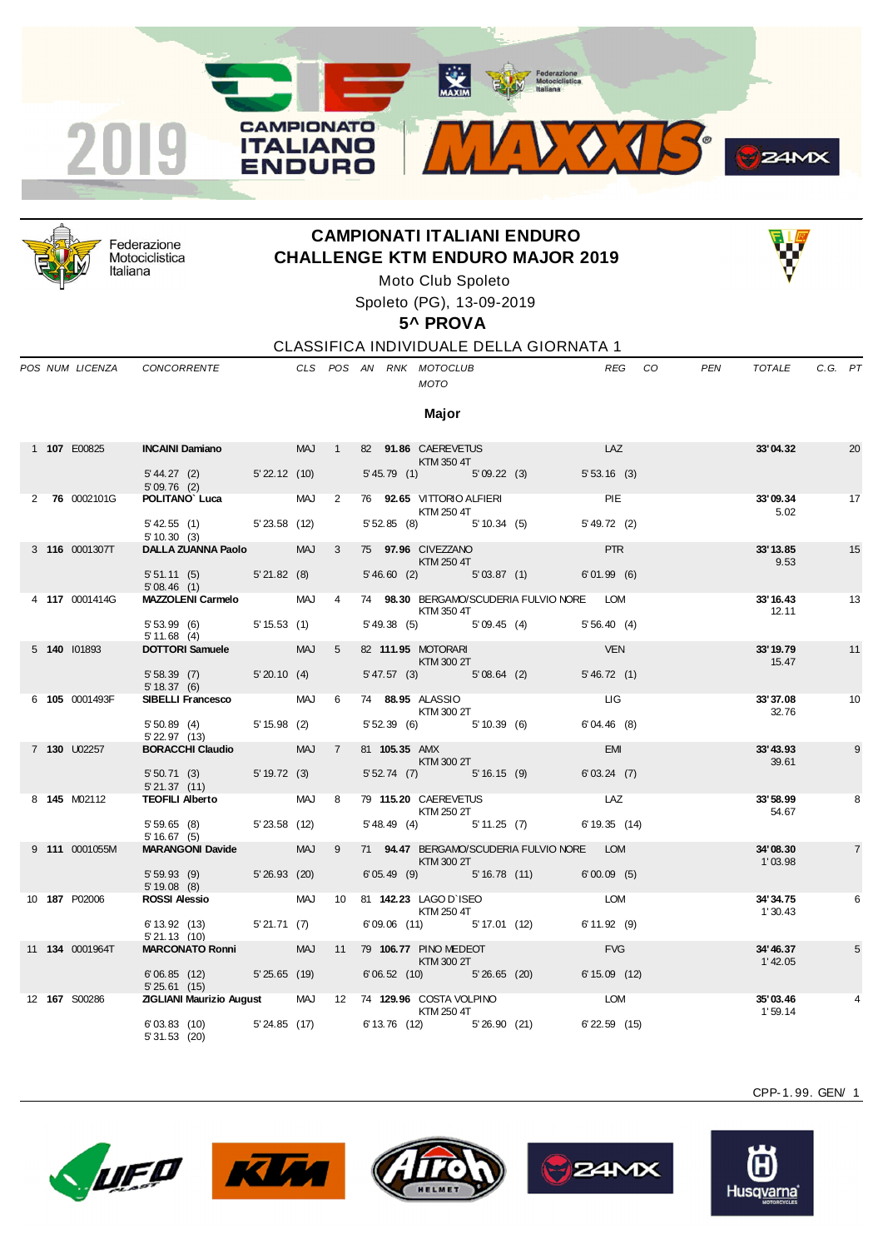



Federazione Motociclistica Italiana

## **CAMPIONATI ITALIANI ENDURO CHALLENGE KTM ENDURO MAJOR 2019**



Moto Club Spoleto

Spoleto (PG), 13-09-2019

**5^ PROVA**

CLASSIFICA INDIVIDUALE DELLA GIORNATA 1

*POS NUM LICENZA CONCORRENTE CLS POS AN RNK MOTOCLUB REG CO PEN TOTALE C.G. PT*

## *MOTO*

**Major**

|  | 1 107 E00825           | <b>INCAINI Damiano</b> MAJ 1                                                       |  |                |  | 82 91.86 CAEREVETUS<br><b>EXTM 350 4T</b>                                                                                          |                     | LAZ         | 33'04.32             | 20             |
|--|------------------------|------------------------------------------------------------------------------------|--|----------------|--|------------------------------------------------------------------------------------------------------------------------------------|---------------------|-------------|----------------------|----------------|
|  |                        | 5'44.27 (2) 5'22.12 (10)<br>5'09.76 (2)                                            |  |                |  | 5' 45.79 (1) 5' 09.22 (3) 5' 53.16 (3)                                                                                             |                     |             |                      |                |
|  | 2 76 0002101G          | <b>POLITANO Luca</b> MAJ 2                                                         |  |                |  | 76 92.65 VITTORIO ALFIERI PIE<br><b>KTM 250 4T</b>                                                                                 |                     |             | 33'09.34<br>5.02     | 17             |
|  |                        | 5' 42.55 (1) 5' 23.58 (12)<br>5'10.30(3)                                           |  |                |  | 5' 52.85 (8) 5' 10.34 (5) 5' 49.72 (2)                                                                                             |                     |             |                      |                |
|  | 3 116 0001307T         | DALLA ZUANNA Paolo MAJ                                                             |  | $\mathbf{3}$   |  | 75 97.96 CIVEZZANO<br><b>EXTM 250 4T</b>                                                                                           |                     | <b>PTR</b>  | 33'13.85<br>9.53     | 15             |
|  |                        | 5' 51.11 (5) 5' 21.82 (8)<br>5'08.46(1)                                            |  |                |  | 5'46.60 (2) 5'03.87 (1) 6'01.99 (6)                                                                                                |                     |             |                      |                |
|  | 4 117 0001414G         | MAZZOLENI Carmelo MAJ                                                              |  | $\overline{4}$ |  | 74 98.30 BERGAMO/SCUDERIA FULVIO NORE LOM<br><b>KTM 350 4T</b>                                                                     |                     |             | 33'16.43<br>12.11    | 13             |
|  |                        | 5' 53.99 (6) 5' 15.53 (1)<br>5' 11.68 (4)                                          |  |                |  | 5' 49.38 (5) 5' 09.45 (4) 5' 56.40 (4)                                                                                             |                     |             |                      |                |
|  | 5 140 101893           | DOTTORI Samuele MAJ                                                                |  | 5 <sup>5</sup> |  | 82 111.95 MOTORARI<br>$KTM$ 300 2T                                                                                                 | <b>EXECUTE: VEN</b> |             | 33' 19.79<br>15.47   | 11             |
|  |                        | 5' 58.39 (7) 5' 20.10 (4)<br>5' 18.37 (6)                                          |  |                |  | 5'47.57 (3) 5'08.64 (2)                                                                                                            |                     | 5' 46.72(1) |                      |                |
|  | 6 105 0001493F         | SIBELLI Francesco MAJ                                                              |  | 6 <sup>6</sup> |  | 74 88.95 ALASSIO LIGILLO DE LIGILLO DE LIGILLO DE LIGILLO DE LIGILLO DE LIGILLO DE LIGILLO DE LIGILLO DE LIGI<br><b>KTM 300 2T</b> |                     |             | 33'37.08<br>32.76    | 10             |
|  |                        | 5' 50.89 (4) 5' 15.98 (2)<br>5' 22.97 (13)                                         |  |                |  | 5' 52.39 (6) 5' 10.39 (6) 6' 04.46 (8)                                                                                             |                     |             |                      |                |
|  | 7 <b>130</b> U02257    | BORACCHI Claudio MAJ                                                               |  |                |  | 7 81 105.35 AMX EMI<br>$KTM$ 300 2T                                                                                                |                     |             | 33'43.93<br>39.61    | 9              |
|  |                        | 5' 50.71 (3) 5' 19.72 (3)<br>5' 21.37 (11)                                         |  |                |  | 5' 52.74 (7) 5' 16.15 (9) 6' 03.24 (7)                                                                                             |                     |             |                      |                |
|  | 8 <b>145</b> M02112    | TEOFILI Alberto MAJ 8                                                              |  |                |  | 79 115.20 CAEREVETUS LAZ<br>KTM 250 2T                                                                                             |                     |             | 33'58.99<br>54.67    | 8              |
|  |                        | 5' 59.65 (8) 5' 23.58 (12)<br>5'16.67(5)                                           |  |                |  | 5' 48.49 (4) 5' 11.25 (7) 6' 19.35 (14)                                                                                            |                     |             |                      |                |
|  | 9 111 0001055M         | <b>MARANGONI Davide MAJ 9</b>                                                      |  |                |  | 71 94.47 BERGAMO/SCUDERIA FULVIO NORE LOM<br>KTM 300 2T                                                                            |                     |             | 34'08.30<br>1'03.98  | $\overline{7}$ |
|  |                        | 5' 59.93 (9) 5' 26.93 (20)<br>$5'19.08$ (8)                                        |  |                |  | $6'05.49$ (9) $5'16.78$ (11) $6'00.09$ (5)                                                                                         |                     |             |                      |                |
|  | 10 <b>187</b> P02006   | ROSSI Alessio MAJ 10 81 142.23 LAGO D'ISEO                                         |  |                |  | <b>KTM 250 4T</b>                                                                                                                  | <b>LOM</b>          |             | 34'34.75<br>1'30.43  | 6              |
|  |                        | $6'13.92$ (13) $5'21.71$ (7)<br>5'21.13(10)                                        |  |                |  | 6'09.06 (11) 5'17.01 (12) 6'11.92 (9)                                                                                              |                     |             |                      |                |
|  | 11 <b>134</b> 0001964T | MARCONATO Ronni MAJ 11 79 106.77 PINO MEDEOT                                       |  |                |  | $KTM$ 300 $2T$                                                                                                                     |                     | FVG         | 34'46.37<br>1' 42.05 | 5              |
|  |                        | 6'06.85 (12) 5'25.65 (19)<br>5'25.61(15)                                           |  |                |  | 6'06.52 (10) 5'26.65 (20) 6'15.09 (12)                                                                                             |                     |             |                      |                |
|  | 12 167 S00286          | <b>ZIGLIANI Maurizio August MAJ 12 74 129.96 COSTA VOLPINO COMPUTER COMPUTER</b>   |  |                |  | <b>KTM 250 4T</b>                                                                                                                  |                     |             | 35'03.46<br>1'59.14  |                |
|  |                        | 6'03.83 (10) 5'24.85 (17) 6'13.76 (12) 5'26.90 (21) 6'22.59 (15)<br>$5'31.53$ (20) |  |                |  |                                                                                                                                    |                     |             |                      |                |











Husqvarna

CPP-1. 99. GEN/ 1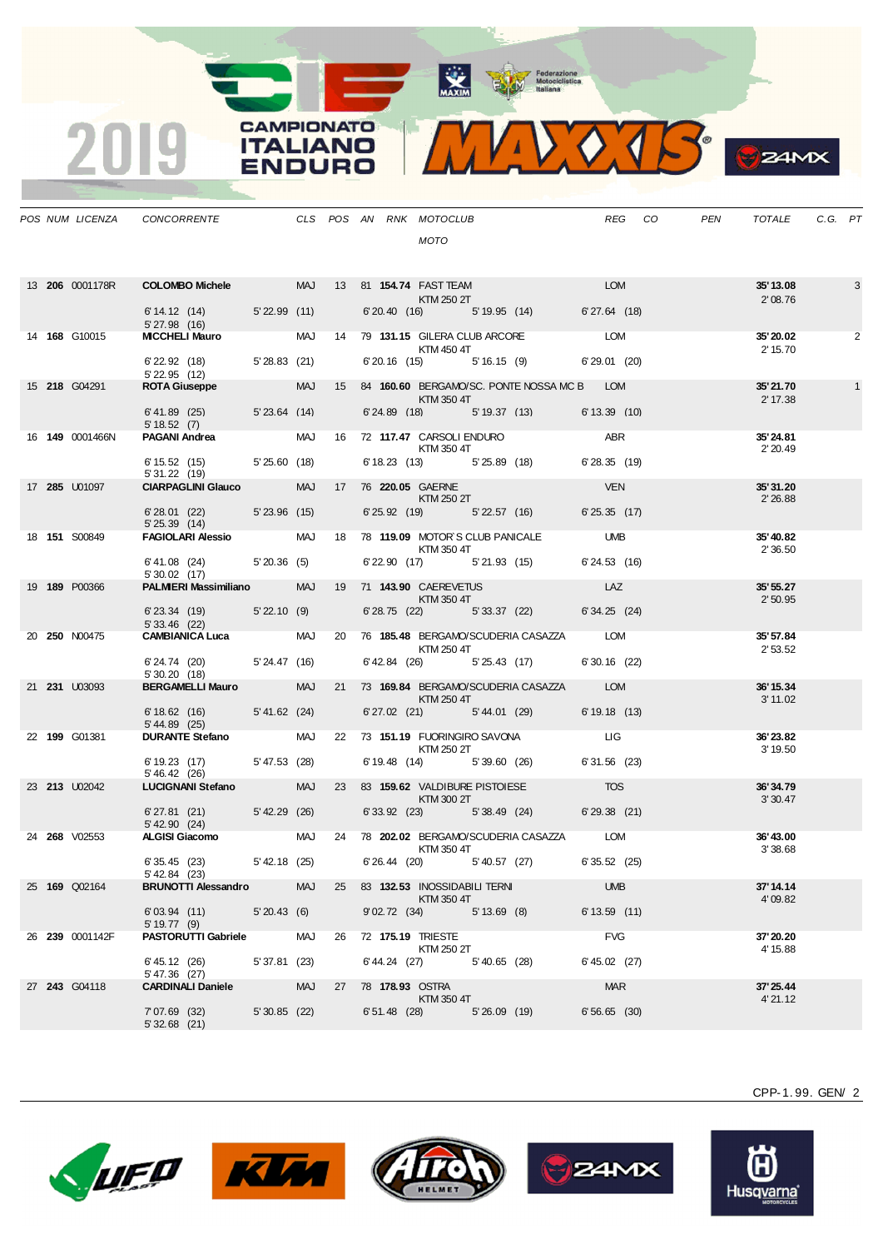MAXIM BOOR Motociclistica



|  | POS NUM LICENZA      | CONCORRENTE CLS POS AN RNK MOTOCLUB                                   |               |            |  | <b>MOTO</b>                                                                                                                                                                                                                                                                                                                                                                                                                                                                                |             |                                                         |                     | REG CO | PEN | TOTALE                | C.G. PT |   |
|--|----------------------|-----------------------------------------------------------------------|---------------|------------|--|--------------------------------------------------------------------------------------------------------------------------------------------------------------------------------------------------------------------------------------------------------------------------------------------------------------------------------------------------------------------------------------------------------------------------------------------------------------------------------------------|-------------|---------------------------------------------------------|---------------------|--------|-----|-----------------------|---------|---|
|  |                      | 13 206 0001178R COLOMBO Michele MAJ 13 81 154.74 FAST TEAM KTM 250 2T |               |            |  |                                                                                                                                                                                                                                                                                                                                                                                                                                                                                            |             |                                                         |                     |        |     | 35' 13.08<br>2'08.76  |         | 3 |
|  |                      | 6' 14.12 (14) 5' 22.99 (11)                                           |               |            |  |                                                                                                                                                                                                                                                                                                                                                                                                                                                                                            |             | 6'20.40 (16) 5'19.95 (14) 6'27.64 (18)                  |                     |        |     |                       |         |   |
|  | 14 168 G10015        | 5' 27.98 (16)<br>MCCHELI Mauro MAJ 14 79 131.15 GILERA CLUBARCORE LOM |               |            |  | KTM 450 4T                                                                                                                                                                                                                                                                                                                                                                                                                                                                                 |             |                                                         |                     |        |     | 35' 20.02<br>2' 15.70 |         | 2 |
|  |                      | 6' 22.92 (18) 5' 28.83 (21)<br>5' 22.95 (12)                          |               |            |  |                                                                                                                                                                                                                                                                                                                                                                                                                                                                                            |             | 6' 20.16 (15) 5' 16.15 (9) 6' 29.01 (20)                |                     |        |     |                       |         |   |
|  | 15 218 G04291        | <b>ROTA Giuseppe</b>                                                  |               |            |  | $KTM$ 350 $4T$                                                                                                                                                                                                                                                                                                                                                                                                                                                                             |             | MAJ 15 84 160.60 BERGAMO/SC. PONTE NOSSA MC B LOM       |                     |        |     | 35'21.70<br>2' 17.38  |         |   |
|  |                      | 6' 41.89 (25) 5' 23.64 (14)<br>5' 18.52 (7)                           |               |            |  |                                                                                                                                                                                                                                                                                                                                                                                                                                                                                            |             | 6'24.89 (18) 5'19.37 (13) 6'13.39 (10)                  |                     |        |     |                       |         |   |
|  | 16 149 0001466N      | <b>PAGANI Andrea</b>                                                  |               |            |  | KTM 350 4T                                                                                                                                                                                                                                                                                                                                                                                                                                                                                 |             | MAJ 16 72 117.47 CARSOLI ENDURO ABR                     |                     |        |     | 35'24.81<br>2' 20.49  |         |   |
|  |                      | 6' 15.52 (15) 5' 25.60 (18)<br>5' 31.22 (19)                          |               |            |  |                                                                                                                                                                                                                                                                                                                                                                                                                                                                                            |             | 6' 18.23 (13) 5' 25.89 (18) 6' 28.35 (19)               |                     |        |     |                       |         |   |
|  | 17 <b>285</b> U01097 | <b>CIARPAGLINI Glauco</b>                                             |               |            |  | MAJ 17 76 220.05 GAERNE<br>KTM 250 2T                                                                                                                                                                                                                                                                                                                                                                                                                                                      |             |                                                         | <b>STATE VEN</b>    |        |     | 35'31.20<br>2'26.88   |         |   |
|  |                      | 6'28.01 (22) 5'23.96 (15)<br>5' 25.39 (14)                            |               |            |  |                                                                                                                                                                                                                                                                                                                                                                                                                                                                                            |             | 6'25.92 (19) 5'22.57 (16) 6'25.35 (17)                  |                     |        |     |                       |         |   |
|  | 18 <b>151</b> S00849 | <b>FAGIOLARI Alessio MAJ 18 78 119.09 MOTOR S CLUB PANICALE UMB</b>   |               |            |  | <b>KTM 350 4T</b>                                                                                                                                                                                                                                                                                                                                                                                                                                                                          |             |                                                         |                     |        |     | 35'40.82<br>2' 36.50  |         |   |
|  |                      | $6'41.08$ (24) $5'20.36$ (5)<br>$5'30.02$ (17)<br>5' 30.02 (17)       |               |            |  |                                                                                                                                                                                                                                                                                                                                                                                                                                                                                            |             | 6'22.90 (17) 5'21.93 (15) 6'24.53 (16)                  |                     |        |     |                       |         |   |
|  | 19 189 P00366        | PALMIERI Massimiliano MAJ 19 71 143.90 CAEREVETUS                     |               |            |  | KTM 350 4T                                                                                                                                                                                                                                                                                                                                                                                                                                                                                 |             |                                                         | <b>Example 2018</b> |        |     | 35' 55.27<br>2'50.95  |         |   |
|  |                      | 6' 23.34 (19) 5' 22.10 (9)                                            |               |            |  |                                                                                                                                                                                                                                                                                                                                                                                                                                                                                            |             | 6' 28.75 (22) 5' 33.37 (22) 6' 34.25 (24)               |                     |        |     |                       |         |   |
|  | 20 <b>250</b> N00475 |                                                                       |               |            |  | KTM 250 4T                                                                                                                                                                                                                                                                                                                                                                                                                                                                                 |             |                                                         |                     |        |     | 35' 57.84<br>2'53.52  |         |   |
|  |                      | 6' 24.74 (20) 5' 24.47 (16)<br>5'30.20(18)                            |               |            |  |                                                                                                                                                                                                                                                                                                                                                                                                                                                                                            |             | 6' 42.84 (26) 5' 25.43 (17) 6' 30.16 (22)               |                     |        |     |                       |         |   |
|  | 21 231 U03093        | <b>BERGAMELLI Mauro</b>                                               |               |            |  | KTM 250 4T                                                                                                                                                                                                                                                                                                                                                                                                                                                                                 |             | MAJ 21 73 169.84 BERGAMO/SCUDERIA CASAZZA LOM           |                     |        |     | 36' 15.34<br>3' 11.02 |         |   |
|  |                      | 6' 18.62 (16) 5' 41.62 (24)<br>5' 44.89 (25)                          |               |            |  |                                                                                                                                                                                                                                                                                                                                                                                                                                                                                            |             | 6' 27.02 (21) 5' 44.01 (29) 6' 19.18 (13)               |                     |        |     |                       |         |   |
|  | 22 199 G01381        | DURANTE Stefano MAJ 22 73 151.19 FUORINGIRO SAVONA LIG                |               |            |  | <b>KTM 250 2T</b>                                                                                                                                                                                                                                                                                                                                                                                                                                                                          |             |                                                         |                     |        |     | 36'23.82<br>3' 19.50  |         |   |
|  |                      | 6' 19.23 (17) 5' 47.53 (28)<br>$5' 46.42$ (26)                        |               |            |  |                                                                                                                                                                                                                                                                                                                                                                                                                                                                                            |             | 6' 19.48 (14) 5' 39.60 (26) 6' 31.56 (23)               |                     |        |     |                       |         |   |
|  | 23 213 U02042        | <b>LUCIGNANI Stefano</b>                                              |               | <b>MAJ</b> |  | $\blacksquare$ $\blacksquare$ $\blacksquare$ $\blacksquare$ $\blacksquare$ $\blacksquare$ $\blacksquare$ $\blacksquare$ $\blacksquare$ $\blacksquare$ $\blacksquare$ $\blacksquare$ $\blacksquare$ $\blacksquare$ $\blacksquare$ $\blacksquare$ $\blacksquare$ $\blacksquare$ $\blacksquare$ $\blacksquare$ $\blacksquare$ $\blacksquare$ $\blacksquare$ $\blacksquare$ $\blacksquare$ $\blacksquare$ $\blacksquare$ $\blacksquare$ $\blacksquare$ $\blacksquare$ $\blacksquare$ $\blacks$ |             | 23 83 159.62 VALDIBURE PISTOIESE TOS                    |                     |        |     | 36'34.79<br>3'30.47   |         |   |
|  |                      | 6' 27.81 (21) 5' 42.29 (26)<br>$5'$ 42.90 $(24)$                      |               |            |  |                                                                                                                                                                                                                                                                                                                                                                                                                                                                                            |             | 6'33.92 (23) 5'38.49 (24) 6'29.38 (21)                  |                     |        |     |                       |         |   |
|  | 24 268 V02553        | ALGISI Giacomo MAJ 24 78 202.02 BERGAMO/SCUDERIA CASAZZA LOM          |               |            |  | KTM 350 4T                                                                                                                                                                                                                                                                                                                                                                                                                                                                                 |             |                                                         |                     |        |     | 36'43.00<br>3'38.68   |         |   |
|  |                      | 6'35.45(23)<br>5' 42.84 (23)                                          |               |            |  |                                                                                                                                                                                                                                                                                                                                                                                                                                                                                            |             | 5' 42.18 (25) 6' 26.44 (20) 5' 40.57 (27) 6' 35.52 (25) |                     |        |     |                       |         |   |
|  | 25 169 Q02164        | <b>BRUNOTTI Alessandro</b>                                            |               | MAJ        |  | 25 83 132.53 INOSSIDABILI TERNI<br>KTM 350 4T                                                                                                                                                                                                                                                                                                                                                                                                                                              |             |                                                         | <b>UMB</b>          |        |     | 37'14.14<br>4'09.82   |         |   |
|  |                      | $6'03.94$ (11) $5'20.43$ (6)<br>5' 19.77 (9)                          |               |            |  | 9'02.72 (34) 5'13.69 (8)                                                                                                                                                                                                                                                                                                                                                                                                                                                                   |             |                                                         | 6'13.59(11)         |        |     |                       |         |   |
|  | 26 239 0001142F      | <b>PASTORUTTI Gabriele</b>                                            |               | MAJ        |  | 26 72 175.19 TRIESTE<br>KTM 250 2T                                                                                                                                                                                                                                                                                                                                                                                                                                                         |             |                                                         | <b>FVG</b>          |        |     | 37' 20.20<br>4' 15.88 |         |   |
|  |                      | 6' 45.12 (26)<br>5' 47.36 (27)                                        | 5'37.81(23)   |            |  | $6'44.24$ (27) $5'40.65$ (28)                                                                                                                                                                                                                                                                                                                                                                                                                                                              |             |                                                         | $6' 45.02$ (27)     |        |     |                       |         |   |
|  | 27 243 G04118        | <b>CARDINALI Daniele</b>                                              |               | MAJ        |  | 27 78 178.93 OSTRA<br>KTM 350 4T                                                                                                                                                                                                                                                                                                                                                                                                                                                           |             |                                                         | <b>MAR</b>          |        |     | 37' 25.44<br>4'21.12  |         |   |
|  |                      | 7'07.69 (32)<br>$5'32.68$ (21)                                        | 5' 30.85 (22) |            |  | $6'51.48$ (28)                                                                                                                                                                                                                                                                                                                                                                                                                                                                             | 5'26.09(19) |                                                         | 6'56.65(30)         |        |     |                       |         |   |

**CAMPIONATO** 

**ITALIANO** 

**ENDURO** 

2019











CPP-1. 99. GEN/ 2

**B**Z4MX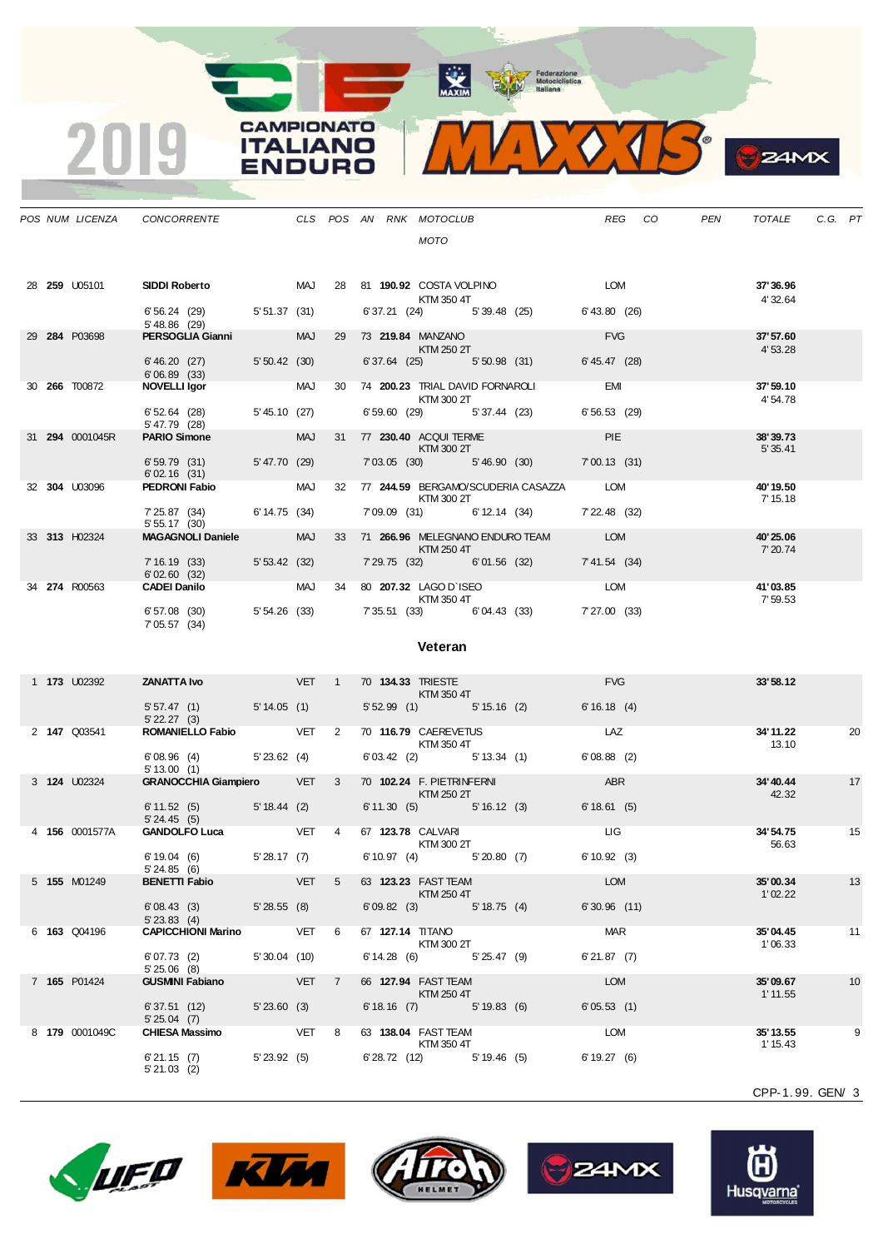MAXIM Pederazione



|  |                      | POS NUM LICENZA CONCORRENTE                                                          |            |             | CLS POS AN RNK MOTOCLUB                                                                                                                                                                                                                                       |                                           |               | REG CO | PEN |                      | TOTALE C.G. PT |
|--|----------------------|--------------------------------------------------------------------------------------|------------|-------------|---------------------------------------------------------------------------------------------------------------------------------------------------------------------------------------------------------------------------------------------------------------|-------------------------------------------|---------------|--------|-----|----------------------|----------------|
|  |                      |                                                                                      |            |             | <b>MOTO</b>                                                                                                                                                                                                                                                   |                                           |               |        |     |                      |                |
|  | 28 <b>259 U05101</b> | SIDDI Roberto                           MAJ       28     81   190.92   COSTA VOLPINO |            |             |                                                                                                                                                                                                                                                               |                                           | <b>LOM</b>    |        |     | 37'36.96             |                |
|  |                      | 6' 56.24 (29) 5' 51.37 (31)<br>5'48.86 (29)                                          |            |             | KTM 350 4T                                                                                                                                                                                                                                                    | 6' 37.21 (24) 5' 39.48 (25)               | 6'43.80 (26)  |        |     | 4'32.64              |                |
|  | 29 284 P03698        | <b>PERSOGLIA Gianni</b> MAJ                                                          |            |             | 29 73 219.84 MANZANO<br><b>KTM 250 2T</b>                                                                                                                                                                                                                     |                                           | <b>FVG</b>    |        |     | 37'57.60<br>4'53.28  |                |
|  |                      | $6'46.20$ (27) $5'50.42$ (30)<br>6'06.89(33)                                         |            |             |                                                                                                                                                                                                                                                               | 6' 37.64 (25) 5' 50.98 (31)               | 6' 45.47 (28) |        |     |                      |                |
|  | 30 <b>266</b> T00872 | NOVELLI Igor MAJ                                                                     |            |             | <b>KTM 300 2T</b>                                                                                                                                                                                                                                             | 30 74 200.23 TRIAL DAVID FORNAROLI EMI    |               |        |     | 37' 59.10<br>4'54.78 |                |
|  |                      | 6' 52.64 (28) 5' 45.10 (27)<br>5' 47.79 (28)                                         |            |             | 6' 59.60 (29) 5' 37.44 (23)                                                                                                                                                                                                                                   |                                           | 6'56.53 (29)  |        |     |                      |                |
|  | 31 294 0001045R      | <b>PARIO Simone</b>                                                                  | <b>MAJ</b> |             | 31 77 230.40 ACQUI TERME<br>$KTM$ 300 2T                                                                                                                                                                                                                      |                                           | <b>PIE</b>    |        |     | 38'39.73<br>5' 35.41 |                |
|  |                      | 6' 59.79 (31) 5' 47.70 (29)<br>6'02.16(31)                                           |            |             |                                                                                                                                                                                                                                                               | 7'03.05 (30) 5'46.90 (30) 7'00.13 (31)    |               |        |     |                      |                |
|  | 32 304 U03096        | <b>PEDRONI Fabio</b> MAJ                                                             |            |             | <b>KTM 300 2T</b>                                                                                                                                                                                                                                             | 32 77 244.59 BERGAMO/SCUDERIA CASAZZA LOM |               |        |     | 40'19.50<br>7' 15.18 |                |
|  |                      | $7'25.87$ (34) 6'14.75 (34)<br>5' 55.17 (30)                                         |            |             |                                                                                                                                                                                                                                                               | 7'09.09 (31) 6'12.14 (34) 7'22.48 (32)    |               |        |     |                      |                |
|  | 33 313 H02324        | MAGAGNOLI Daniele MAJ                                                                |            |             | <b>Example 250 KTM 250 4T</b>                                                                                                                                                                                                                                 | 33 71 266.96 MELEGNANO ENDURO TEAM LOM    |               |        |     | 40'25.06<br>7' 20.74 |                |
|  |                      | 7' 16.19 (33) 5' 53.42 (32)                                                          |            |             |                                                                                                                                                                                                                                                               | 7' 29.75 (32) 6' 01.56 (32) 7' 41.54 (34) |               |        |     |                      |                |
|  | 34 274 R00563        |                                                                                      |            |             | <b>KTM 350 4T</b>                                                                                                                                                                                                                                             |                                           |               |        |     | 41'03.85<br>7'59.53  |                |
|  |                      | 6'57.08 (30) 5'54.26 (33) 7'35.51 (33) 6'04.43 (33) 7'27.00 (33)<br>7' 05.57 (34)    |            |             |                                                                                                                                                                                                                                                               |                                           |               |        |     |                      |                |
|  |                      |                                                                                      |            |             | Veteran                                                                                                                                                                                                                                                       |                                           |               |        |     |                      |                |
|  | 1 <b>173</b> U02392  | <b>ZANATTA Ivo DET 1 70 134.33 TRIESTE</b>                                           |            |             |                                                                                                                                                                                                                                                               |                                           | <b>FVG</b>    |        |     | 33'58.12             |                |
|  |                      | 5' 57.47 (1) 5' 14.05 (1)<br>$5'$ 22.27 (3)                                          |            |             | <b>EXTM 350 4T</b>                                                                                                                                                                                                                                            | 5' 52.99 (1) 5' 15.16 (2) 6' 16.18 (4)    |               |        |     |                      |                |
|  | 2 <b>147</b> Q03541  | <b>ROMANIELLO Fabio</b> VET 2                                                        |            |             | 70 116.79 CAEREVETUS<br><b>KTM 350 4T</b>                                                                                                                                                                                                                     |                                           | <b>LAZ</b>    |        |     | 34'11.22<br>13.10    | 20             |
|  |                      | $6'08.96$ (4) $5'23.62$ (4)<br>5' 13.00(1)                                           |            |             |                                                                                                                                                                                                                                                               | $6'03.42$ (2) $5'13.34$ (1)               | 6'08.88(2)    |        |     |                      |                |
|  | 3 <b>124 U02324</b>  | <b>GRANOCCHIA Giampiero VET</b>                                                      |            | $3^{\circ}$ | 70 102.24 F. PIETRINFERNI<br>$\blacksquare$ $\blacksquare$ $\blacksquare$ $\blacksquare$ $\blacksquare$ $\blacksquare$ $\blacksquare$ $\blacksquare$ $\blacksquare$ $\blacksquare$ $\blacksquare$ $\blacksquare$ $\blacksquare$ $\blacksquare$ $\blacksquare$ |                                           | ABR           |        |     | 34'40.44<br>42.32    | 17             |
|  |                      | 6' 11.52 (5) 5' 18.44 (2)<br>5'24.45(5)                                              |            |             |                                                                                                                                                                                                                                                               | 6'11.30 (5) 5'16.12 (3) 6'18.61 (5)       |               |        |     |                      |                |
|  | 4 156 0001577A       | GANDOLFO Luca VET 4 67 123.78 CALVARI                                                |            |             | KTM 300 2T                                                                                                                                                                                                                                                    |                                           | LIG .         |        |     | 34'54.75<br>56.63    | 15             |
|  |                      | $C(40.04 \tbinom{6}{1}$ $C(0.47 \tbinom{7}{1}$                                       |            |             | $C(40.07)(4)$ $C(00.00)(7)$                                                                                                                                                                                                                                   |                                           | C(1000)(0)    |        |     |                      |                |

**CAMPIONATO** 

**ITALIANO** 

**ENDURO** 

2019

|  |                     | 0.0011                       |                |            |                |                                         |              |                |                       |    |
|--|---------------------|------------------------------|----------------|------------|----------------|-----------------------------------------|--------------|----------------|-----------------------|----|
|  | 3 <b>124</b> U02324 | <b>GRANOCCHIA Giampiero</b>  |                | <b>VET</b> | 3              | 70 102.24 F. PIETRINFERNI<br>KTM 250 2T |              | <b>ABR</b>     | 34' 40.44<br>42.32    | 17 |
|  |                     | 6'11.52(5)<br>5'24.45(5)     | $5' 18.44$ (2) |            |                | 6' 11.30(5)                             | 5' 16.12 (3) | 6'18.61(5)     |                       |    |
|  | 4 156 0001577A      | <b>GANDOLFO Luca</b>         |                | <b>VET</b> | 4              | 67 123.78 CALVARI<br>KTM 300 2T         |              | <b>LIG</b>     | 34'54.75<br>56.63     | 15 |
|  |                     | 6'19.04(6)<br>5'24.85(6)     | 5'28.17(7)     |            |                | 6'10.97(4)                              | 5'20.80(7)   | 6'10.92(3)     |                       |    |
|  | 5 155 M01249        | <b>BENETTI Fabio</b>         |                | <b>VET</b> | $5^{\circ}$    | 63 123.23 FAST TEAM<br>KTM 250 4T       |              | <b>LOM</b>     | 35'00.34<br>1'02.22   | 13 |
|  |                     | 6'08.43(3)<br>$5'$ 23.83 (4) | 5'28.55(8)     |            |                | 6'09.82(3)                              | 5' 18.75(4)  | $6'30.96$ (11) |                       |    |
|  | 6 163 Q04196        | <b>CAPICCHIONI Marino</b>    |                | VET        | 6              | 67 127.14 TITANO<br>KTM 300 2T          |              | <b>MAR</b>     | 35'04.45<br>1'06.33   | 11 |
|  |                     | 6'07.73(2)<br>$5'25.06$ (8)  | 5'30.04(10)    |            |                | 6'14.28(6)                              | 5'25.47(9)   | 6'21.87(7)     |                       |    |
|  | 7 165 P01424        | <b>GUSMINI Fabiano</b>       |                | <b>VET</b> | $\overline{7}$ | 66 127.94 FAST TEAM<br>KTM 250 4T       |              | <b>LOM</b>     | 35'09.67<br>1' 11.55  | 10 |
|  |                     | 6'37.51(12)<br>$5'25.04$ (7) | 5'23.60(3)     |            |                | 6'18.16(7)                              | 5'19.83(6)   | 6'05.53(1)     |                       |    |
|  | 8 179 0001049C      | <b>CHIESA Massimo</b>        |                | <b>VET</b> | -8             | 63 138.04 FAST TEAM<br>KTM 350 4T       |              | <b>LOM</b>     | 35' 13.55<br>1' 15.43 | 9  |
|  |                     | 6'21.15(7)<br>$5'21.03$ (2)  | $5'$ 23.92 (5) |            |                | 6'28.72(12)                             | 5'19.46(5)   | 6'19.27(6)     |                       |    |
|  |                     |                              |                |            |                |                                         |              |                |                       |    |

CPP-1. 99. GEN/ 3

**B**<sub>z</sub>amx